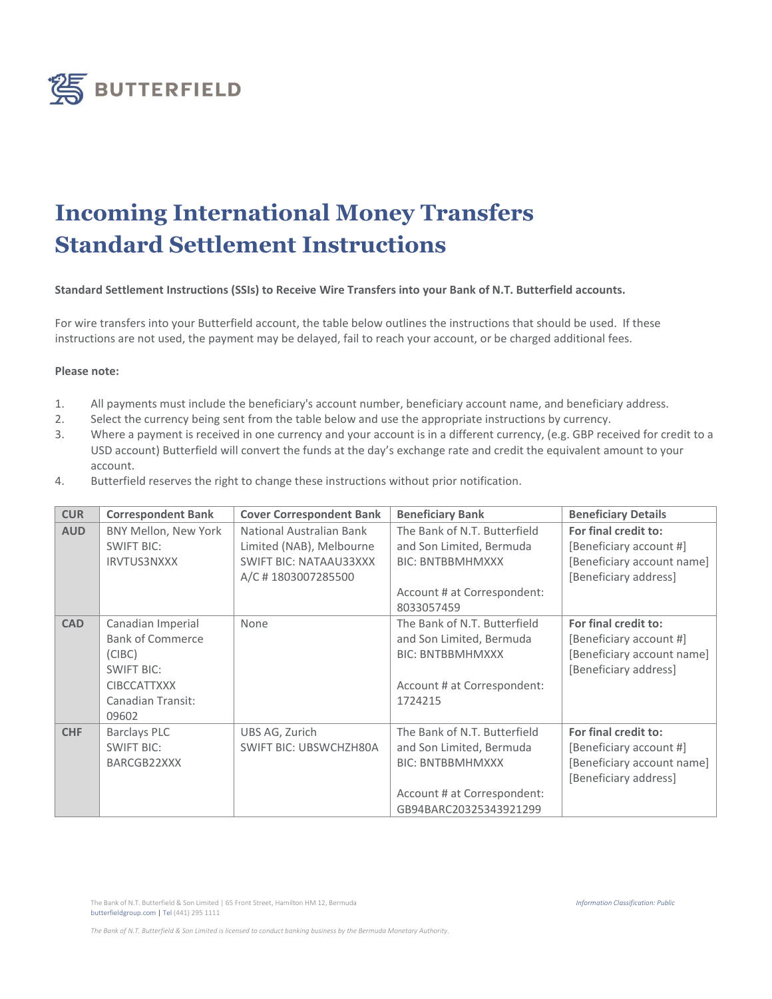

## **Incoming International Money Transfers Standard Settlement Instructions**

## **Standard Settlement Instructions (SSIs) to Receive Wire Transfers into your Bank of N.T. Butterfield accounts.**

For wire transfers into your Butterfield account, the table below outlines the instructions that should be used. If these instructions are not used, the payment may be delayed, fail to reach your account, or be charged additional fees.

## **Please note:**

- 1. All payments must include the beneficiary's account number, beneficiary account name, and beneficiary address.
- 2. Select the currency being sent from the table below and use the appropriate instructions by currency.
- 3. Where a payment is received in one currency and your account is in a different currency, (e.g. GBP received for credit to a USD account) Butterfield will convert the funds at the day's exchange rate and credit the equivalent amount to your account.
- 4. Butterfield reserves the right to change these instructions without prior notification.

| <b>CUR</b> | <b>Correspondent Bank</b>                                                                                                       | <b>Cover Correspondent Bank</b>                                                                             | <b>Beneficiary Bank</b>                                                                                                                      | <b>Beneficiary Details</b>                                                                             |
|------------|---------------------------------------------------------------------------------------------------------------------------------|-------------------------------------------------------------------------------------------------------------|----------------------------------------------------------------------------------------------------------------------------------------------|--------------------------------------------------------------------------------------------------------|
| <b>AUD</b> | BNY Mellon, New York<br><b>SWIFT BIC:</b><br><b>IRVTUS3NXXX</b>                                                                 | National Australian Bank<br>Limited (NAB), Melbourne<br><b>SWIFT BIC: NATAAU33XXX</b><br>A/C #1803007285500 | The Bank of N.T. Butterfield<br>and Son Limited, Bermuda<br><b>BIC: BNTBBMHMXXX</b><br>Account # at Correspondent:<br>8033057459             | For final credit to:<br>[Beneficiary account #]<br>[Beneficiary account name]<br>[Beneficiary address] |
| <b>CAD</b> | Canadian Imperial<br><b>Bank of Commerce</b><br>(CIBC)<br><b>SWIFT BIC:</b><br><b>CIBCCATTXXX</b><br>Canadian Transit:<br>09602 | None                                                                                                        | The Bank of N.T. Butterfield<br>and Son Limited, Bermuda<br><b>BIC: BNTBBMHMXXX</b><br>Account # at Correspondent:<br>1724215                | For final credit to:<br>[Beneficiary account #]<br>[Beneficiary account name]<br>[Beneficiary address] |
| <b>CHF</b> | <b>Barclays PLC</b><br><b>SWIFT BIC:</b><br>BARCGB22XXX                                                                         | UBS AG, Zurich<br><b>SWIFT BIC: UBSWCHZH80A</b>                                                             | The Bank of N.T. Butterfield<br>and Son Limited, Bermuda<br><b>BIC: BNTBBMHMXXX</b><br>Account # at Correspondent:<br>GB94BARC20325343921299 | For final credit to:<br>[Beneficiary account #]<br>[Beneficiary account name]<br>[Beneficiary address] |

*The Bank of N.T. Butterfield & Son Limited is licensed to conduct banking business by the Bermuda Monetary Authority.*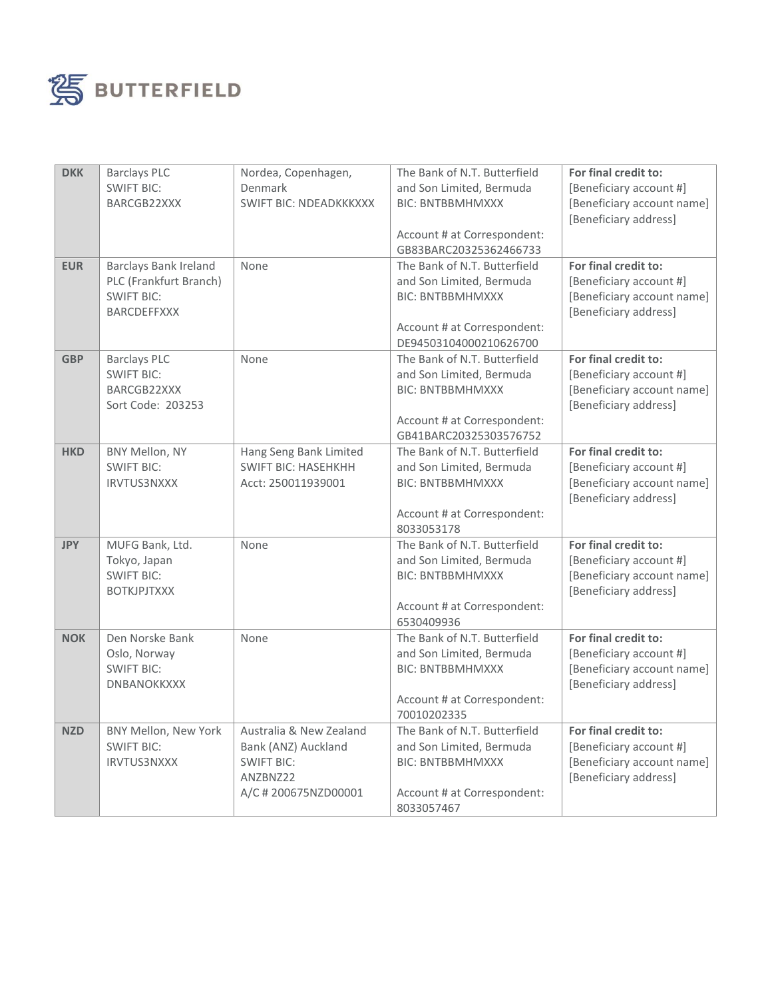

| <b>DKK</b> | <b>Barclays PLC</b>          | Nordea, Copenhagen,           | The Bank of N.T. Butterfield              | For final credit to:       |
|------------|------------------------------|-------------------------------|-------------------------------------------|----------------------------|
|            | <b>SWIFT BIC:</b>            | Denmark                       | and Son Limited, Bermuda                  | [Beneficiary account #]    |
|            | BARCGB22XXX                  | <b>SWIFT BIC: NDEADKKKXXX</b> | <b>BIC: BNTBBMHMXXX</b>                   | [Beneficiary account name] |
|            |                              |                               |                                           | [Beneficiary address]      |
|            |                              |                               | Account # at Correspondent:               |                            |
|            |                              |                               | GB83BARC20325362466733                    |                            |
| <b>EUR</b> | <b>Barclays Bank Ireland</b> | None                          | The Bank of N.T. Butterfield              | For final credit to:       |
|            | PLC (Frankfurt Branch)       |                               | and Son Limited, Bermuda                  | [Beneficiary account #]    |
|            | <b>SWIFT BIC:</b>            |                               | <b>BIC: BNTBBMHMXXX</b>                   | [Beneficiary account name] |
|            | <b>BARCDEFFXXX</b>           |                               |                                           | [Beneficiary address]      |
|            |                              |                               | Account # at Correspondent:               |                            |
|            |                              |                               | DE94503104000210626700                    |                            |
| <b>GBP</b> | <b>Barclays PLC</b>          | None                          | The Bank of N.T. Butterfield              | For final credit to:       |
|            | <b>SWIFT BIC:</b>            |                               | and Son Limited, Bermuda                  | [Beneficiary account #]    |
|            | BARCGB22XXX                  |                               | <b>BIC: BNTBBMHMXXX</b>                   | [Beneficiary account name] |
|            | Sort Code: 203253            |                               |                                           | [Beneficiary address]      |
|            |                              |                               | Account # at Correspondent:               |                            |
|            |                              |                               | GB41BARC20325303576752                    |                            |
| <b>HKD</b> | BNY Mellon, NY               | Hang Seng Bank Limited        | The Bank of N.T. Butterfield              | For final credit to:       |
|            | <b>SWIFT BIC:</b>            | <b>SWIFT BIC: HASEHKHH</b>    | and Son Limited, Bermuda                  | [Beneficiary account #]    |
|            | <b>IRVTUS3NXXX</b>           | Acct: 250011939001            | <b>BIC: BNTBBMHMXXX</b>                   | [Beneficiary account name] |
|            |                              |                               |                                           | [Beneficiary address]      |
|            |                              |                               | Account # at Correspondent:               |                            |
|            |                              |                               | 8033053178                                |                            |
| <b>JPY</b> | MUFG Bank, Ltd.              | None                          | The Bank of N.T. Butterfield              | For final credit to:       |
|            | Tokyo, Japan                 |                               | and Son Limited, Bermuda                  | [Beneficiary account #]    |
|            | <b>SWIFT BIC:</b>            |                               | <b>BIC: BNTBBMHMXXX</b>                   | [Beneficiary account name] |
|            | <b>BOTKJPJTXXX</b>           |                               |                                           | [Beneficiary address]      |
|            |                              |                               | Account # at Correspondent:<br>6530409936 |                            |
|            | Den Norske Bank              | None                          | The Bank of N.T. Butterfield              | For final credit to:       |
| <b>NOK</b> | Oslo, Norway                 |                               | and Son Limited, Bermuda                  | [Beneficiary account #]    |
|            | <b>SWIFT BIC:</b>            |                               | <b>BIC: BNTBBMHMXXX</b>                   | [Beneficiary account name] |
|            | <b>DNBANOKKXXX</b>           |                               |                                           | [Beneficiary address]      |
|            |                              |                               | Account # at Correspondent:               |                            |
|            |                              |                               | 70010202335                               |                            |
| <b>NZD</b> | BNY Mellon, New York         | Australia & New Zealand       | The Bank of N.T. Butterfield              | For final credit to:       |
|            | <b>SWIFT BIC:</b>            | Bank (ANZ) Auckland           | and Son Limited, Bermuda                  | [Beneficiary account #]    |
|            | <b>IRVTUS3NXXX</b>           | <b>SWIFT BIC:</b>             | <b>BIC: BNTBBMHMXXX</b>                   | [Beneficiary account name] |
|            |                              | ANZBNZ22                      |                                           | [Beneficiary address]      |
|            |                              | A/C # 200675NZD00001          | Account # at Correspondent:               |                            |
|            |                              |                               | 8033057467                                |                            |